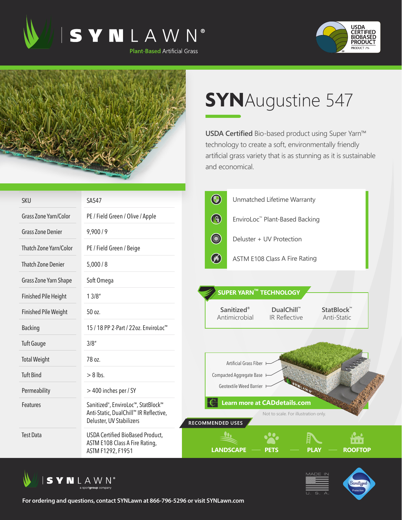





## **SYN**Augustine 547

**USDA Certified** Bio-based product using Super Yarn™ technology to create a soft, environmentally friendly artificial grass variety that is as stunning as it is sustainable and economical.

| <b>SKU</b>                   | SA547                                                                                                                 | $\bigcirc$                    |                             | Unmatched Lifetime Warranty                                                 |                                       |  |
|------------------------------|-----------------------------------------------------------------------------------------------------------------------|-------------------------------|-----------------------------|-----------------------------------------------------------------------------|---------------------------------------|--|
| <b>Grass Zone Yarn/Color</b> | PE / Field Green / Olive / Apple                                                                                      | $\bigcirc$                    |                             | EnviroLoc™ Plant-Based Backing                                              |                                       |  |
| <b>Grass Zone Denier</b>     | 9,900/9                                                                                                               | <b>College Report Follows</b> |                             | Deluster + UV Protection                                                    |                                       |  |
| Thatch Zone Yarn/Color       | PE / Field Green / Beige                                                                                              |                               |                             |                                                                             |                                       |  |
| <b>Thatch Zone Denier</b>    | 5,000/8                                                                                                               | $\circledast$                 |                             | ASTM E108 Class A Fire Rating                                               |                                       |  |
| Grass Zone Yarn Shape        | Soft Omega                                                                                                            |                               |                             |                                                                             |                                       |  |
| <b>Finished Pile Height</b>  | 13/8"                                                                                                                 |                               |                             | <b>SUPER YARN™ TECHNOLOGY</b>                                               |                                       |  |
| <b>Finished Pile Weight</b>  | 50 oz.                                                                                                                |                               | Sanitized®<br>Antimicrobial | <b>DualChill™</b><br>IR Reflective                                          | StatBlock™<br>Anti-Static             |  |
| <b>Backing</b>               | 15 / 18 PP 2-Part / 22oz. EnviroLoc <sup>™</sup>                                                                      |                               |                             |                                                                             |                                       |  |
| <b>Tuft Gauge</b>            | 3/8''                                                                                                                 |                               |                             |                                                                             |                                       |  |
| <b>Total Weight</b>          | 78 oz.                                                                                                                |                               | Artificial Grass Fiber      |                                                                             |                                       |  |
| <b>Tuft Bind</b>             | $> 8$ lbs.                                                                                                            | Compacted Aggregate Base      |                             |                                                                             |                                       |  |
| Permeability                 | > 400 inches per / SY                                                                                                 | Geotextile Weed Barrier       |                             |                                                                             |                                       |  |
| <b>Features</b>              | Sanitized <sup>®</sup> , EnviroLoc™, StatBlock™<br>Anti-Static, DualChill™ IR Reflective,<br>Deluster, UV Stabilizers | RECOMMENDED USES              |                             | <b>Learn more at CADdetails.com</b><br>Not to scale. For illustration only. |                                       |  |
| <b>Test Data</b>             | USDA Certified BioBased Product,<br>ASTM E108 Class A Fire Rating,<br>ASTM F1292, F1951                               |                               | <b>LANDSCAPE</b>            | PETS                                                                        | ■■■■<br><b>PLAY</b><br><b>ROOFTOP</b> |  |





**For ordering and questions, contact SYNLawn at 866-796-5296 or visit SYNLawn.com**